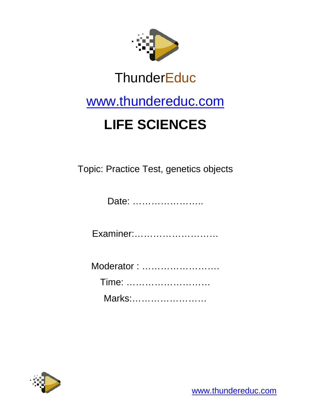

## **ThunderEduc**

### [www.thundereduc.com](http://www.thundereduc.com/)

# **LIFE SCIENCES**

Topic: Practice Test, genetics objects

Date: …………………..

Examiner:………………………

| Moderator: |  |
|------------|--|
| Time:      |  |
| Marks:     |  |

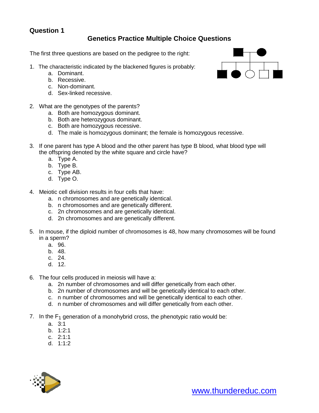#### **Question 1**

#### **Genetics Practice Multiple Choice Questions**

The first three questions are based on the pedigree to the right:

- 1. The characteristic indicated by the blackened figures is probably:
	- a. Dominant.
	- b. Recessive.
	- c. Non-dominant.
	- d. Sex-linked recessive.
- 2. What are the genotypes of the parents?
	- a. Both are homozygous dominant.
	- b. Both are heterozygous dominant.
	- c. Both are homozygous recessive.
	- d. The male is homozygous dominant; the female is homozygous recessive.
- 3. If one parent has type A blood and the other parent has type B blood, what blood type will the offspring denoted by the white square and circle have?
	- a. Type A.
	- b. Type B.
	- c. Type AB.
	- d. Type O.
- 4. Meiotic cell division results in four cells that have:
	- a. n chromosomes and are genetically identical.
	- b. n chromosomes and are genetically different.
	- c. 2n chromosomes and are genetically identical.
	- d. 2n chromosomes and are genetically different.
- 5. In mouse, if the diploid number of chromosomes is 48, how many chromosomes will be found in a sperm?
	- a. 96.
	- b. 48.
	- c. 24.
	- d. 12.
- 6. The four cells produced in meiosis will have a:
	- a. 2n number of chromosomes and will differ genetically from each other.
	- b. 2n number of chromosomes and will be genetically identical to each other.
	- c. n number of chromosomes and will be genetically identical to each other.
	- d. n number of chromosomes and will differ genetically from each other.
- 7. In the  $F_1$  generation of a monohybrid cross, the phenotypic ratio would be:
	- a. 3:1
	- b. 1:2:1
	- c. 2:1:1
	- d. 1:1:2



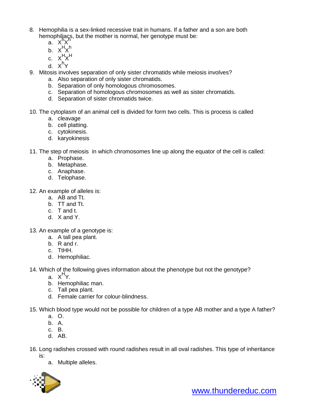- 8. Hemophilia is a sex-linked recessive trait in humans. If a father and a son are both hemophiliacs, but the mother is normal, her genotype must be:
	- $a. \times hX$
	- b.  $X^H X^h$
	- c. X<sup>H</sup>X<sup>H</sup>
	- d. X<sup>h</sup>Y
- 9. Mitosis involves separation of only sister chromatids while meiosis involves?
	- a. Also separation of only sister chromatids.
	- b. Separation of only homologous chromosomes.
	- c. Separation of homologous chromosomes as well as sister chromatids.
	- d. Separation of sister chromatids twice.
- 10. The cytoplasm of an animal cell is divided for form two cells. This is process is called
	- a. cleavage
	- b. cell platting.
	- c. cytokinesis.
	- d. karyokinesis
- 11. The step of meiosis in which chromosomes line up along the equator of the cell is called:
	- a. Prophase.
	- b. Metaphase.
	- c. Anaphase.
	- d. Telophase.
- 12. An example of alleles is:
	- a. AB and Tt.
	- b. TT and Tt.
	- c. T and t.
	- d. X and Y.

13. An example of a genotype is:

- a. A tall pea plant.
- b. R and r.
- c. TtHH.
- d. Hemophiliac.

14. Which of the following gives information about the phenotype but not the genotype?

- a. X<sup>H</sup>Y.
- b. Hemophiliac man.
- c. Tall pea plant.
- d. Female carrier for colour-blindness.
- 15. Which blood type would not be possible for children of a type AB mother and a type A father?
	- a. O.
	- b. A.
	- c. B.
	- d. AB.
- 16. Long radishes crossed with round radishes result in all oval radishes. This type of inheritance is:
	- a. Multiple alleles.

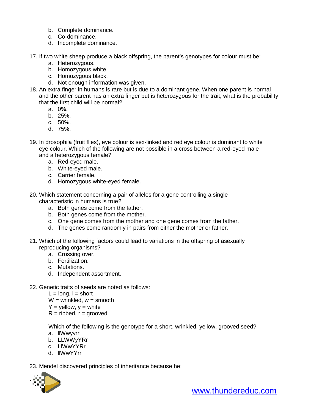- b. Complete dominance.
- c. Co-dominance.
- d. Incomplete dominance.
- 17. If two white sheep produce a black offspring, the parent's genotypes for colour must be:
	- a. Heterozygous.
	- b. Homozygous white.
	- c. Homozygous black.
	- d. Not enough information was given.
- 18. An extra finger in humans is rare but is due to a dominant gene. When one parent is normal and the other parent has an extra finger but is heterozygous for the trait, what is the probability that the first child will be normal?
	- a. 0%.
	- b. 25%.
	- c. 50%.
	- d. 75%.
- 19. In drosophila (fruit flies), eye colour is sex-linked and red eye colour is dominant to white eye colour. Which of the following are not possible in a cross between a red-eyed male and a heterozygous female?
	- a. Red-eyed male.
	- b. White-eyed male.
	- c. Carrier female.
	- d. Homozygous white-eyed female.
- 20. Which statement concerning a pair of alleles for a gene controlling a single characteristic in humans is true?
	- a. Both genes come from the father.
	- b. Both genes come from the mother.
	- c. One gene comes from the mother and one gene comes from the father.
	- d. The genes come randomly in pairs from either the mother or father.
- 21. Which of the following factors could lead to variations in the offspring of asexually reproducing organisms?
	- a. Crossing over.
	- b. Fertilization.
	- c. Mutations.
	- d. Independent assortment.
- 22. Genetic traits of seeds are noted as follows:
	- $L =$  long,  $l =$  short
	- $W =$  wrinkled,  $w =$  smooth
	- $Y =$  yellow,  $y =$  white
	- $R = ribbed$ ,  $r = grooved$

Which of the following is the genotype for a short, wrinkled, yellow, grooved seed?

- a. llWwyyrr
- b. LLWWyYRr
- c. LlWwYYRr
- d. llWwYYrr

23. Mendel discovered principles of inheritance because he:

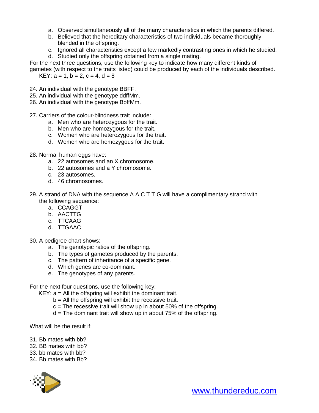- a. Observed simultaneously all of the many characteristics in which the parents differed.
- b. Believed that the hereditary characteristics of two individuals became thoroughly blended in the offspring.
- c. Ignored all characteristics except a few markedly contrasting ones in which he studied.
- d. Studied only the offspring obtained from a single mating.

For the next three questions, use the following key to indicate how many different kinds of gametes (with respect to the traits listed) could be produced by each of the individuals described. KEY:  $a = 1$ ,  $b = 2$ ,  $c = 4$ ,  $d = 8$ 

- 24. An individual with the genotype BBFF.
- 25. An individual with the genotype ddffMm.
- 26. An individual with the genotype BbffMm.
- 27. Carriers of the colour-blindness trait include:
	- a. Men who are heterozygous for the trait.
	- b. Men who are homozygous for the trait.
	- c. Women who are heterozygous for the trait.
	- d. Women who are homozygous for the trait.
- 28. Normal human eggs have:
	- a. 22 autosomes and an X chromosome.
	- b. 22 autosomes and a Y chromosome.
	- c. 23 autosomes.
	- d. 46 chromosomes.
- 29. A strand of DNA with the sequence A A C T T G will have a complimentary strand with the following sequence:
	- a. CCAGGT
	- b. AACTTG
	- c. TTCAAG
	- d. TTGAAC
- 30. A pedigree chart shows:
	- a. The genotypic ratios of the offspring.
	- b. The types of gametes produced by the parents.
	- c. The pattern of inheritance of a specific gene.
	- d. Which genes are co-dominant.
	- e. The genotypes of any parents.

For the next four questions, use the following key:

 $KEY: a = All the offspring will exhibit the dominant trait.$ 

- $b =$  All the offspring will exhibit the recessive trait.
- $c =$ The recessive trait will show up in about 50% of the offspring.
- d = The dominant trait will show up in about 75% of the offspring.

What will be the result if:

- 31. Bb mates with bb?
- 32. BB mates with bb?
- 33. bb mates with bb?
- 34. Bb mates with Bb?

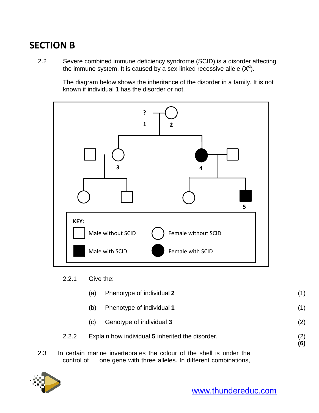### **SECTION B**

2.2 Severe combined immune deficiency syndrome (SCID) is a disorder affecting the immune system. It is caused by a sex-linked recessive allele (X<sup>d</sup>).

> The diagram below shows the inheritance of the disorder in a family. It is not known if individual **1** has the disorder or not.



2.2.1 Give the:

|     |       | (a) | Phenotype of individual 2                                            | (1)        |
|-----|-------|-----|----------------------------------------------------------------------|------------|
|     |       | (b) | Phenotype of individual 1                                            | (1)        |
|     |       | (C) | Genotype of individual 3                                             | (2)        |
|     | 2.2.2 |     | Explain how individual 5 inherited the disorder.                     | (2)<br>(6) |
| 2.3 |       |     | In certain marine invertebrates the colour of the shell is under the |            |

control of one gene with three alleles. In different combinations,

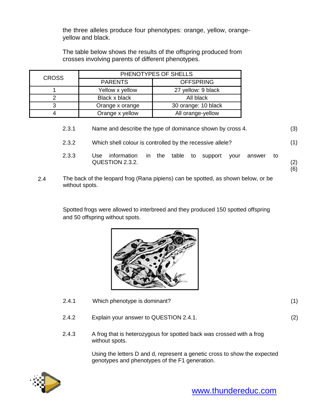the three alleles produce four phenotypes: orange, yellow, orangeyellow and black.

The table below shows the results of the offspring produced from crosses involving parents of different phenotypes.

| <b>CROSS</b> | PHENOTYPES OF SHELLS |                     |  |
|--------------|----------------------|---------------------|--|
|              | <b>PARENTS</b>       | <b>OFFSPRING</b>    |  |
|              | Yellow x yellow      | 27 yellow: 9 black  |  |
|              | Black x black        | All black           |  |
| າ            | Orange x orange      | 30 orange: 10 black |  |
|              | Orange x yellow      | All orange-yellow   |  |

|     | 2.3.1          | Name and describe the type of dominance shown by cross 4.                                             | (3)        |
|-----|----------------|-------------------------------------------------------------------------------------------------------|------------|
|     | 2.3.2          | Which shell colour is controlled by the recessive allele?                                             | (1)        |
|     | 2.3.3          | table<br>information<br>the<br>Use<br>to<br>in.<br>support<br>vour<br>answer<br>to<br>QUESTION 2.3.2. | (2)<br>(6) |
| 2.4 | without spots. | The back of the leopard frog (Rana pipiens) can be spotted, as shown below, or be                     |            |

Spotted frogs were allowed to interbreed and they produced 150 spotted offspring

and 50 offspring without spots.



- 2.4.1 Which phenotype is dominant? (1)
- 2.4.2 Explain your answer to QUESTION 2.4.1. (2)
- 
- 2.4.3 A frog that is heterozygous for spotted back was crossed with a frog without spots.

Using the letters D and d, represent a genetic cross to show the expected genotypes and phenotypes of the F1 generation.